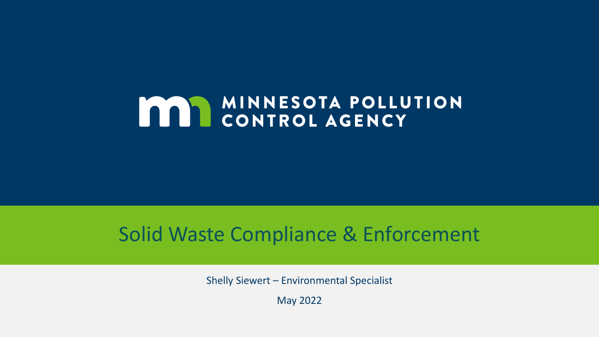## **MAR MINNESOTA POLLUTION**

## Solid Waste Compliance & Enforcement

Shelly Siewert – Environmental Specialist

May 2022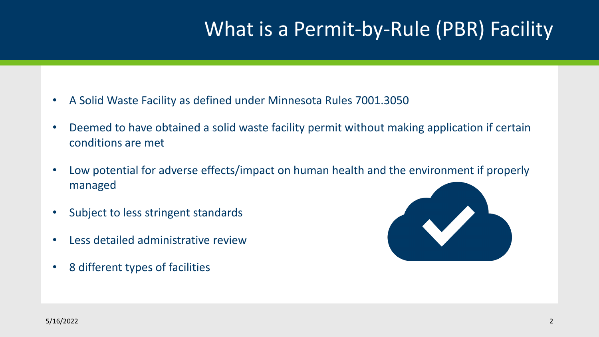## What is a Permit-by-Rule (PBR) Facility

- A Solid Waste Facility as defined under Minnesota Rules 7001.3050
- Deemed to have obtained a solid waste facility permit without making application if certain conditions are met
- Low potential for adverse effects/impact on human health and the environment if properly managed
- Subject to less stringent standards
- Less detailed administrative review
- 8 different types of facilities

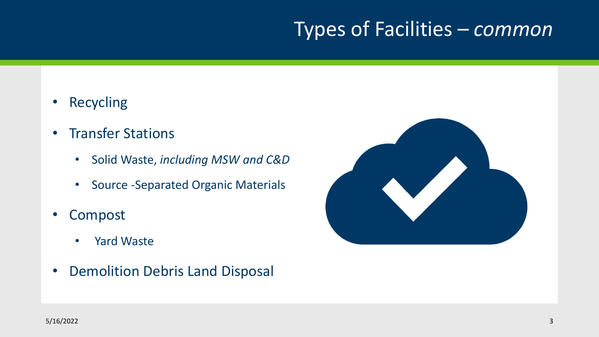## Types of Facilities – *common*

- Recycling
- Transfer Stations
	- Solid Waste, *including MSW and C&D*
	- Source -Separated Organic Materials
- Compost
	- Yard Waste
- Demolition Debris Land Disposal

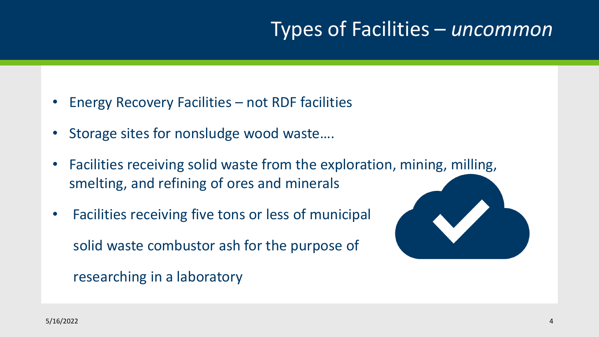## Types of Facilities – *uncommon*

- Energy Recovery Facilities not RDF facilities
- Storage sites for nonsludge wood waste....
- Facilities receiving solid waste from the exploration, mining, milling, smelting, and refining of ores and minerals
- Facilities receiving five tons or less of municipal solid waste combustor ash for the purpose of

researching in a laboratory

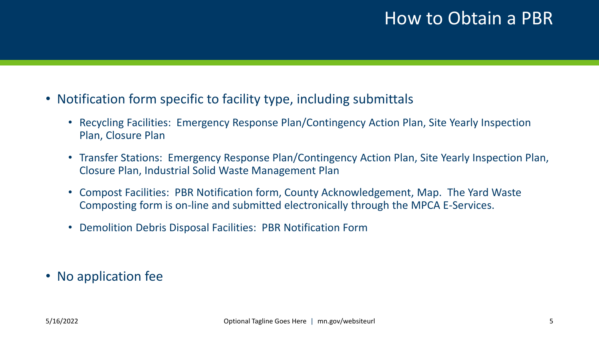#### How to Obtain a PBR

- Notification form specific to facility type, including submittals
	- Recycling Facilities: Emergency Response Plan/Contingency Action Plan, Site Yearly Inspection Plan, Closure Plan
	- Transfer Stations: Emergency Response Plan/Contingency Action Plan, Site Yearly Inspection Plan, Closure Plan, Industrial Solid Waste Management Plan
	- Compost Facilities: PBR Notification form, County Acknowledgement, Map. The Yard Waste Composting form is on-line and submitted electronically through the MPCA E-Services.
	- Demolition Debris Disposal Facilities: PBR Notification Form

• No application fee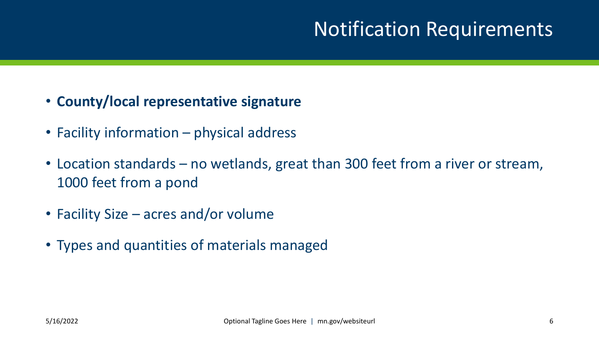## Notification Requirements

- **County/local representative signature**
- Facility information physical address
- Location standards no wetlands, great than 300 feet from a river or stream, 1000 feet from a pond
- Facility Size acres and/or volume
- Types and quantities of materials managed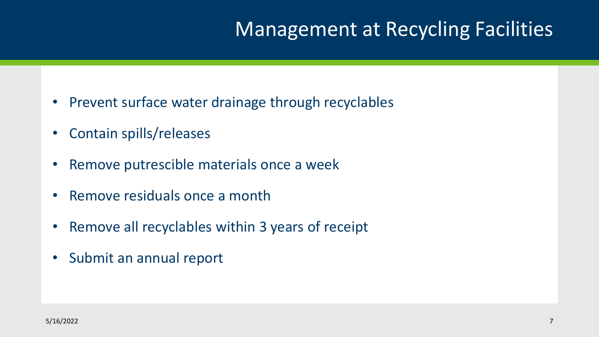## Management at Recycling Facilities

- Prevent surface water drainage through recyclables
- Contain spills/releases
- Remove putrescible materials once a week
- Remove residuals once a month
- Remove all recyclables within 3 years of receipt
- Submit an annual report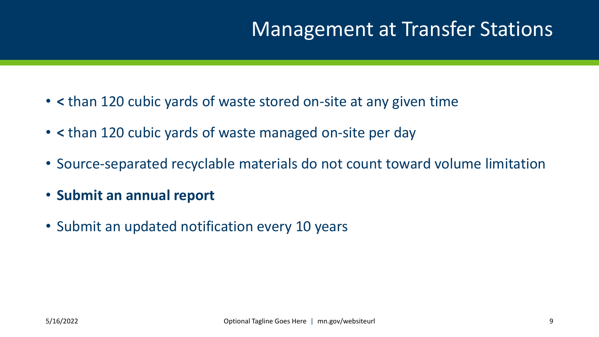## Management at Transfer Stations

- **<** than 120 cubic yards of waste stored on-site at any given time
- **<** than 120 cubic yards of waste managed on-site per day
- Source-separated recyclable materials do not count toward volume limitation
- **Submit an annual report**
- Submit an updated notification every 10 years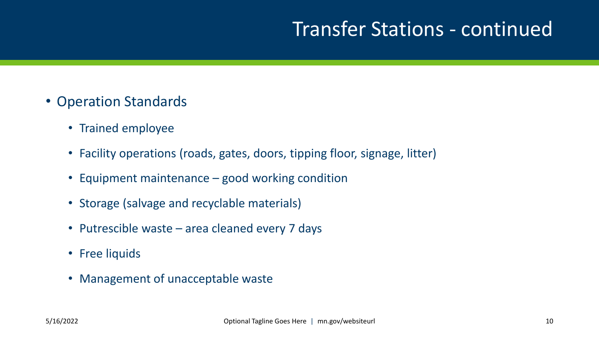## Transfer Stations - continued

- Operation Standards
	- Trained employee
	- Facility operations (roads, gates, doors, tipping floor, signage, litter)
	- Equipment maintenance good working condition
	- Storage (salvage and recyclable materials)
	- Putrescible waste area cleaned every 7 days
	- Free liquids
	- Management of unacceptable waste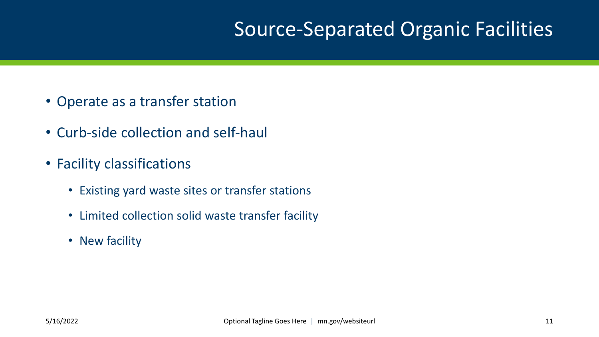## Source-Separated Organic Facilities

- Operate as a transfer station
- Curb-side collection and self-haul
- Facility classifications
	- Existing yard waste sites or transfer stations
	- Limited collection solid waste transfer facility
	- New facility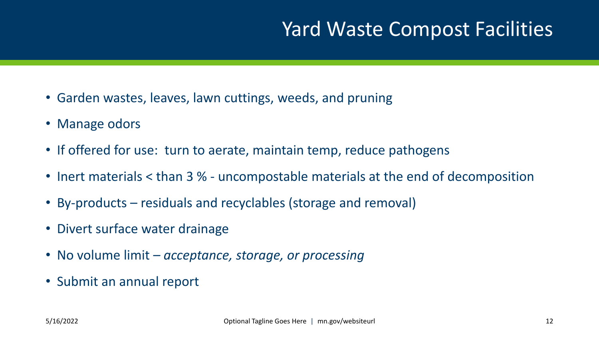## Yard Waste Compost Facilities

- Garden wastes, leaves, lawn cuttings, weeds, and pruning
- Manage odors
- If offered for use: turn to aerate, maintain temp, reduce pathogens
- Inert materials < than 3 % uncompostable materials at the end of decomposition
- By-products residuals and recyclables (storage and removal)
- Divert surface water drainage
- No volume limit *– acceptance, storage, or processing*
- Submit an annual report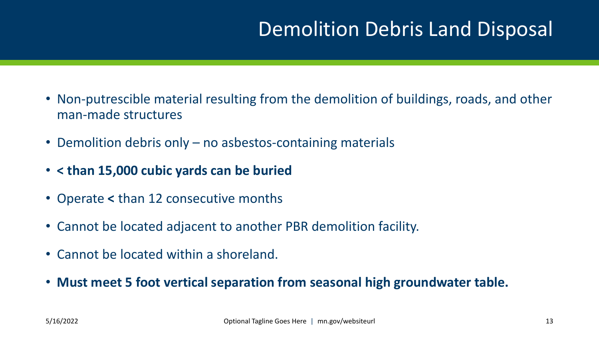## Demolition Debris Land Disposal

- Non-putrescible material resulting from the demolition of buildings, roads, and other man-made structures
- Demolition debris only no asbestos-containing materials
- **< than 15,000 cubic yards can be buried**
- Operate **<** than 12 consecutive months
- Cannot be located adjacent to another PBR demolition facility.
- Cannot be located within a shoreland.
- **Must meet 5 foot vertical separation from seasonal high groundwater table.**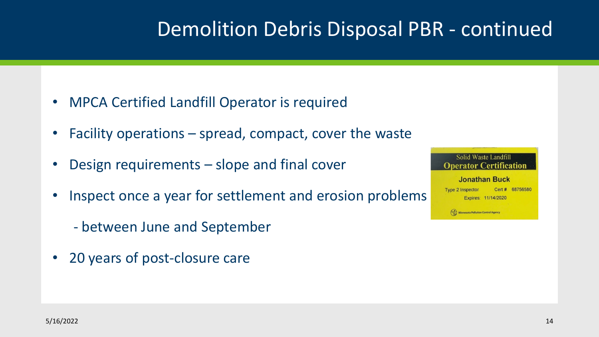## Demolition Debris Disposal PBR - continued

- MPCA Certified Landfill Operator is required
- Facility operations spread, compact, cover the waste
- Design requirements slope and final cover
- Inspect once a year for settlement and erosion problems
	- between June and September
- 20 years of post-closure care

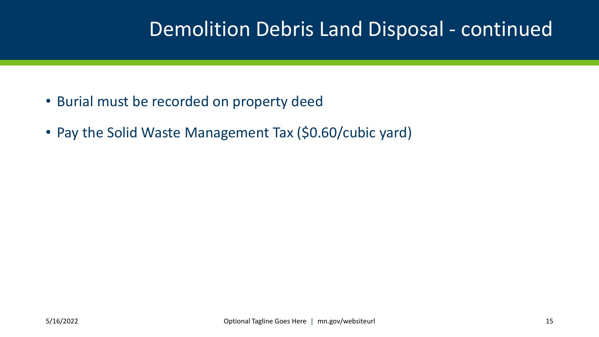## Demolition Debris Land Disposal - continued

- Burial must be recorded on property deed
- Pay the Solid Waste Management Tax (\$0.60/cubic yard)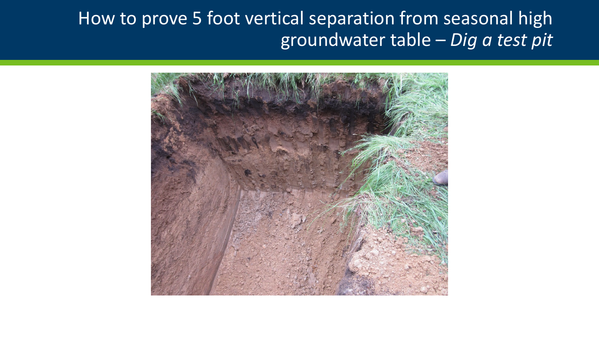#### How to prove 5 foot vertical separation from seasonal high groundwater table – *Dig a test pit*

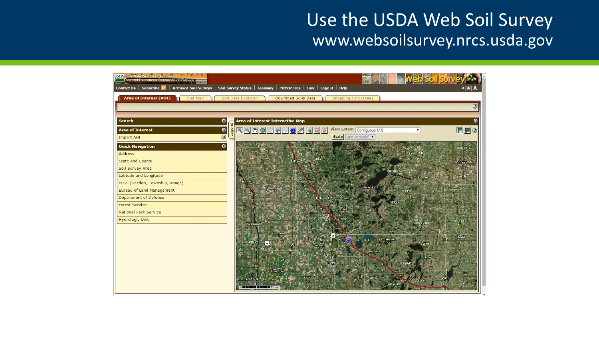#### Use the USDA Web Soil Survey www.websoilsurvey.nrcs.usda.gov

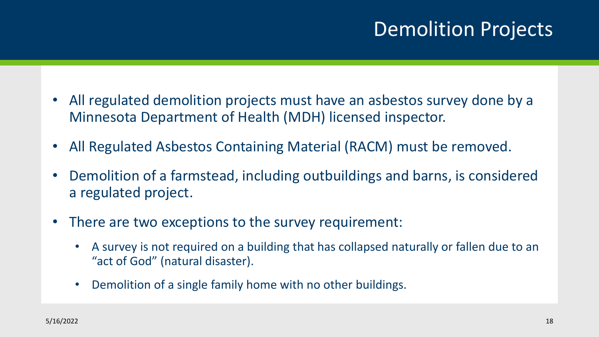## Demolition Projects

- All regulated demolition projects must have an asbestos survey done by a Minnesota Department of Health (MDH) licensed inspector.
- All Regulated Asbestos Containing Material (RACM) must be removed.
- Demolition of a farmstead, including outbuildings and barns, is considered a regulated project.
- There are two exceptions to the survey requirement:
	- A survey is not required on a building that has collapsed naturally or fallen due to an "act of God" (natural disaster).
	- Demolition of a single family home with no other buildings.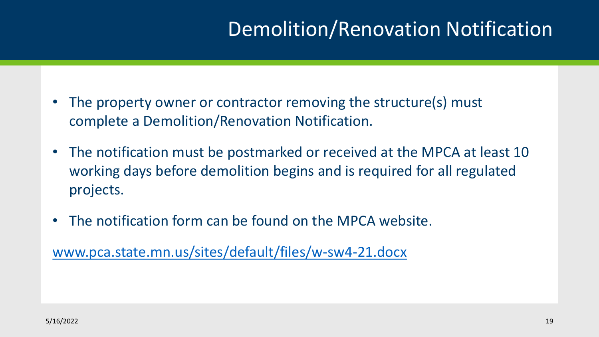## Demolition/Renovation Notification

- The property owner or contractor removing the structure(s) must complete a Demolition/Renovation Notification.
- The notification must be postmarked or received at the MPCA at least 10 working days before demolition begins and is required for all regulated projects.
- The notification form can be found on the MPCA website.

[www.pca.state.mn.us/sites/default/files/w-sw4-21.docx](http://www.pca.state.mn.us/sites/default/files/w-sw4-21.docx)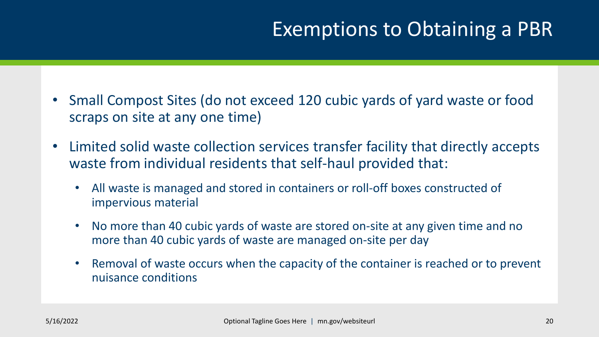## Exemptions to Obtaining a PBR

- Small Compost Sites (do not exceed 120 cubic yards of yard waste or food scraps on site at any one time)
- Limited solid waste collection services transfer facility that directly accepts waste from individual residents that self-haul provided that:
	- All waste is managed and stored in containers or roll-off boxes constructed of impervious material
	- No more than 40 cubic yards of waste are stored on-site at any given time and no more than 40 cubic yards of waste are managed on-site per day
	- Removal of waste occurs when the capacity of the container is reached or to prevent nuisance conditions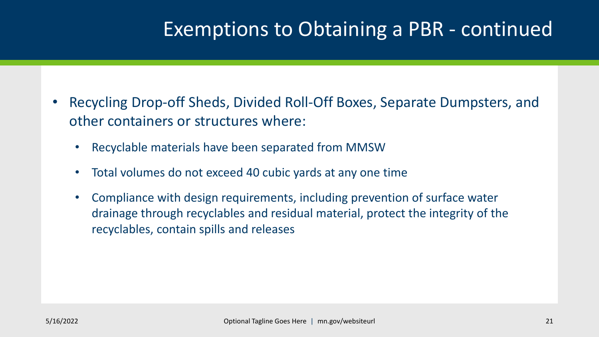## Exemptions to Obtaining a PBR - continued

- Recycling Drop-off Sheds, Divided Roll-Off Boxes, Separate Dumpsters, and other containers or structures where:
	- Recyclable materials have been separated from MMSW
	- Total volumes do not exceed 40 cubic yards at any one time
	- Compliance with design requirements, including prevention of surface water drainage through recyclables and residual material, protect the integrity of the recyclables, contain spills and releases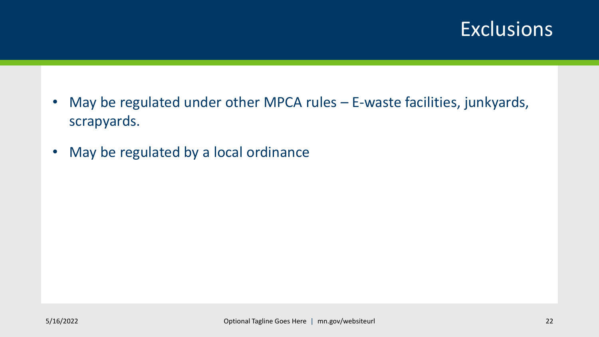### **Exclusions**

- May be regulated under other MPCA rules E-waste facilities, junkyards, scrapyards.
- May be regulated by a local ordinance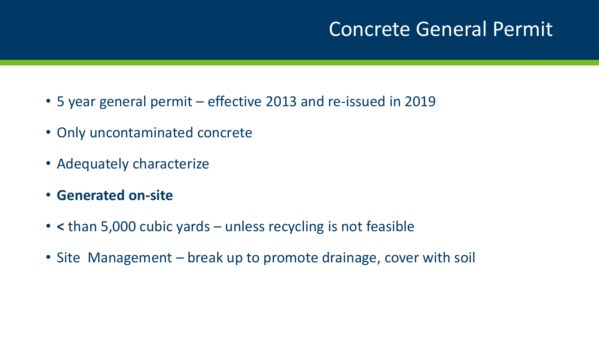## Concrete General Permit

- 5 year general permit effective 2013 and re-issued in 2019
- Only uncontaminated concrete
- Adequately characterize
- **Generated on-site**
- **<** than 5,000 cubic yards unless recycling is not feasible
- Site Management break up to promote drainage, cover with soil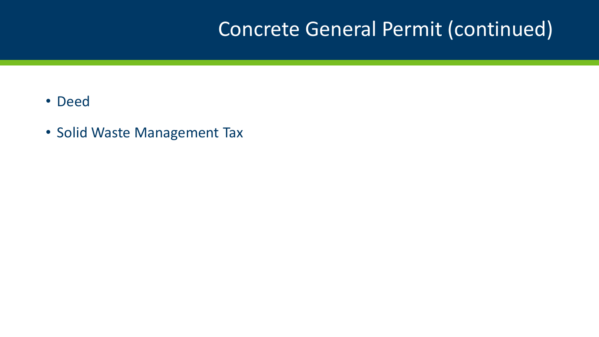## Concrete General Permit (continued)

- Deed
- Solid Waste Management Tax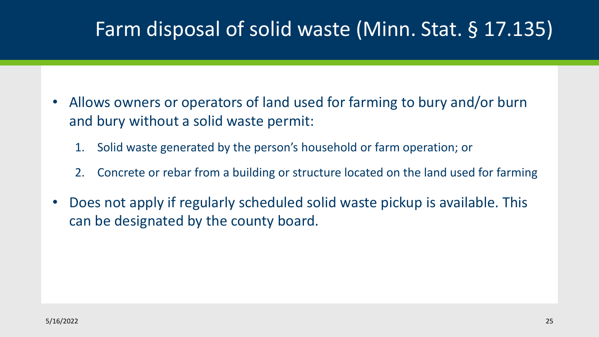## Farm disposal of solid waste (Minn. Stat. § 17.135)

- Allows owners or operators of land used for farming to bury and/or burn and bury without a solid waste permit:
	- 1. Solid waste generated by the person's household or farm operation; or
	- 2. Concrete or rebar from a building or structure located on the land used for farming
- Does not apply if regularly scheduled solid waste pickup is available. This can be designated by the county board.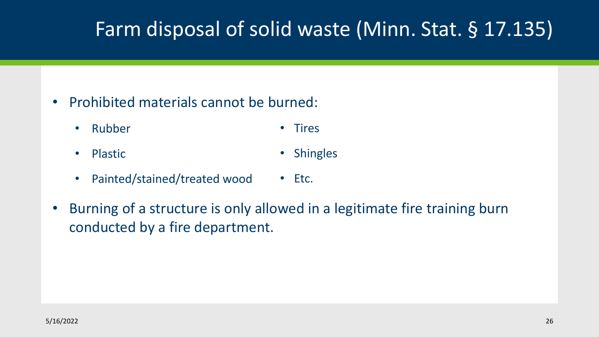## Farm disposal of solid waste (Minn. Stat. § 17.135)

- Prohibited materials cannot be burned:
	- Rubber • Tires
		-
	- Plastic • Shingles
	- Painted/stained/treated wood • Etc.
- Burning of a structure is only allowed in a legitimate fire training burn conducted by a fire department.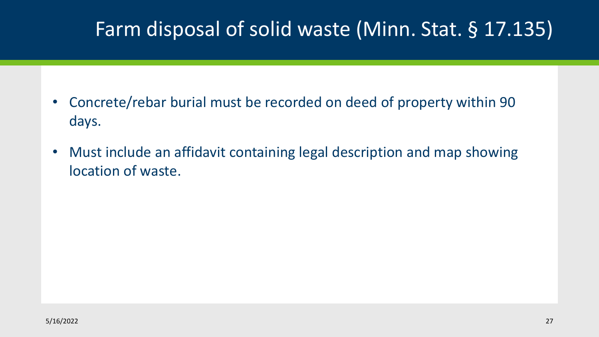## Farm disposal of solid waste (Minn. Stat. § 17.135)

- Concrete/rebar burial must be recorded on deed of property within 90 days.
- Must include an affidavit containing legal description and map showing location of waste.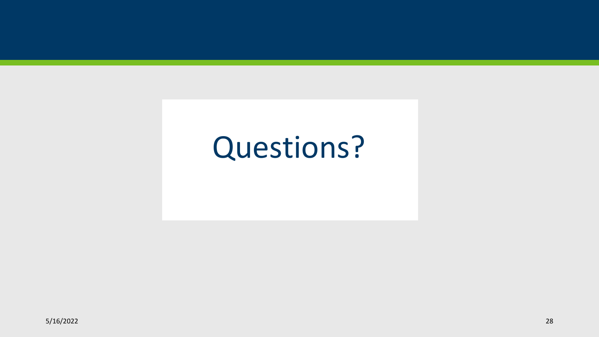## Questions?